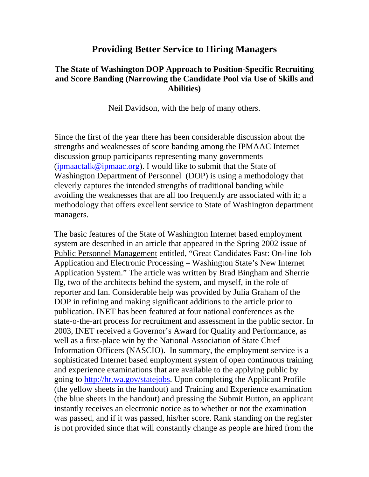## **Providing Better Service to Hiring Managers**

#### **The State of Washington DOP Approach to Position-Specific Recruiting and Score Banding (Narrowing the Candidate Pool via Use of Skills and Abilities)**

Neil Davidson, with the help of many others.

Since the first of the year there has been considerable discussion about the strengths and weaknesses of score banding among the IPMAAC Internet discussion group participants representing many governments  $(i$ <sub>pmaactalk@ipmaac.org</sub>). I would like to submit that the State of Washington Department of Personnel (DOP) is using a methodology that cleverly captures the intended strengths of traditional banding while avoiding the weaknesses that are all too frequently are associated with it; a methodology that offers excellent service to State of Washington department managers.

The basic features of the State of Washington Internet based employment system are described in an article that appeared in the Spring 2002 issue of Public Personnel Management entitled, "Great Candidates Fast: On-line Job Application and Electronic Processing – Washington State's New Internet Application System." The article was written by Brad Bingham and Sherrie Ilg, two of the architects behind the system, and myself, in the role of reporter and fan. Considerable help was provided by Julia Graham of the DOP in refining and making significant additions to the article prior to publication. INET has been featured at four national conferences as the state-o-the-art process for recruitment and assessment in the public sector. In 2003, INET received a Governor's Award for Quality and Performance, as well as a first-place win by the National Association of State Chief Information Officers (NASCIO). In summary, the employment service is a sophisticated Internet based employment system of open continuous training and experience examinations that are available to the applying public by going to http://hr.wa.gov/statejobs. Upon completing the Applicant Profile (the yellow sheets in the handout) and Training and Experience examination (the blue sheets in the handout) and pressing the Submit Button, an applicant instantly receives an electronic notice as to whether or not the examination was passed, and if it was passed, his/her score. Rank standing on the register is not provided since that will constantly change as people are hired from the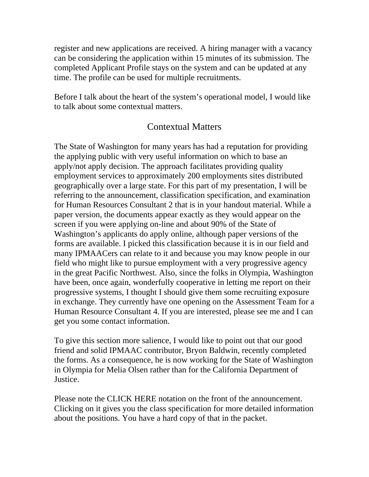register and new applications are received. A hiring manager with a vacancy can be considering the application within 15 minutes of its submission. The completed Applicant Profile stays on the system and can be updated at any time. The profile can be used for multiple recruitments.

Before I talk about the heart of the system's operational model, I would like to talk about some contextual matters.

### Contextual Matters

The State of Washington for many years has had a reputation for providing the applying public with very useful information on which to base an apply/not apply decision. The approach facilitates providing quality employment services to approximately 200 employments sites distributed geographically over a large state. For this part of my presentation, I will be referring to the announcement, classification specification, and examination for Human Resources Consultant 2 that is in your handout material. While a paper version, the documents appear exactly as they would appear on the screen if you were applying on-line and about 90% of the State of Washington's applicants do apply online, although paper versions of the forms are available. I picked this classification because it is in our field and many IPMAACers can relate to it and because you may know people in our field who might like to pursue employment with a very progressive agency in the great Pacific Northwest. Also, since the folks in Olympia, Washington have been, once again, wonderfully cooperative in letting me report on their progressive systems, I thought I should give them some recruiting exposure in exchange. They currently have one opening on the Assessment Team for a Human Resource Consultant 4. If you are interested, please see me and I can get you some contact information.

To give this section more salience, I would like to point out that our good friend and solid IPMAAC contributor, Bryon Baldwin, recently completed the forms. As a consequence, he is now working for the State of Washington in Olympia for Melia Olsen rather than for the California Department of Justice.

Please note the CLICK HERE notation on the front of the announcement. Clicking on it gives you the class specification for more detailed information about the positions. You have a hard copy of that in the packet.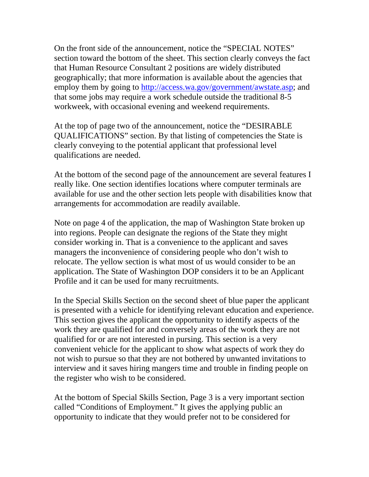On the front side of the announcement, notice the "SPECIAL NOTES" section toward the bottom of the sheet. This section clearly conveys the fact that Human Resource Consultant 2 positions are widely distributed geographically; that more information is available about the agencies that employ them by going to http://access.wa.gov/government/awstate.asp; and that some jobs may require a work schedule outside the traditional 8-5 workweek, with occasional evening and weekend requirements.

At the top of page two of the announcement, notice the "DESIRABLE QUALIFICATIONS" section. By that listing of competencies the State is clearly conveying to the potential applicant that professional level qualifications are needed.

At the bottom of the second page of the announcement are several features I really like. One section identifies locations where computer terminals are available for use and the other section lets people with disabilities know that arrangements for accommodation are readily available.

Note on page 4 of the application, the map of Washington State broken up into regions. People can designate the regions of the State they might consider working in. That is a convenience to the applicant and saves managers the inconvenience of considering people who don't wish to relocate. The yellow section is what most of us would consider to be an application. The State of Washington DOP considers it to be an Applicant Profile and it can be used for many recruitments.

In the Special Skills Section on the second sheet of blue paper the applicant is presented with a vehicle for identifying relevant education and experience. This section gives the applicant the opportunity to identify aspects of the work they are qualified for and conversely areas of the work they are not qualified for or are not interested in pursing. This section is a very convenient vehicle for the applicant to show what aspects of work they do not wish to pursue so that they are not bothered by unwanted invitations to interview and it saves hiring mangers time and trouble in finding people on the register who wish to be considered.

At the bottom of Special Skills Section, Page 3 is a very important section called "Conditions of Employment." It gives the applying public an opportunity to indicate that they would prefer not to be considered for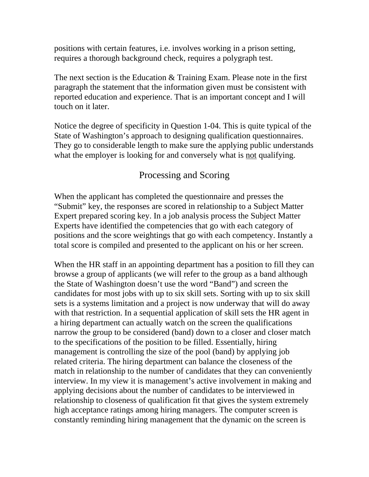positions with certain features, i.e. involves working in a prison setting, requires a thorough background check, requires a polygraph test.

The next section is the Education  $&$  Training Exam. Please note in the first paragraph the statement that the information given must be consistent with reported education and experience. That is an important concept and I will touch on it later.

Notice the degree of specificity in Question 1-04. This is quite typical of the State of Washington's approach to designing qualification questionnaires. They go to considerable length to make sure the applying public understands what the employer is looking for and conversely what is not qualifying.

# Processing and Scoring

When the applicant has completed the questionnaire and presses the "Submit" key, the responses are scored in relationship to a Subject Matter Expert prepared scoring key. In a job analysis process the Subject Matter Experts have identified the competencies that go with each category of positions and the score weightings that go with each competency. Instantly a total score is compiled and presented to the applicant on his or her screen.

When the HR staff in an appointing department has a position to fill they can browse a group of applicants (we will refer to the group as a band although the State of Washington doesn't use the word "Band") and screen the candidates for most jobs with up to six skill sets. Sorting with up to six skill sets is a systems limitation and a project is now underway that will do away with that restriction. In a sequential application of skill sets the HR agent in a hiring department can actually watch on the screen the qualifications narrow the group to be considered (band) down to a closer and closer match to the specifications of the position to be filled. Essentially, hiring management is controlling the size of the pool (band) by applying job related criteria. The hiring department can balance the closeness of the match in relationship to the number of candidates that they can conveniently interview. In my view it is management's active involvement in making and applying decisions about the number of candidates to be interviewed in relationship to closeness of qualification fit that gives the system extremely high acceptance ratings among hiring managers. The computer screen is constantly reminding hiring management that the dynamic on the screen is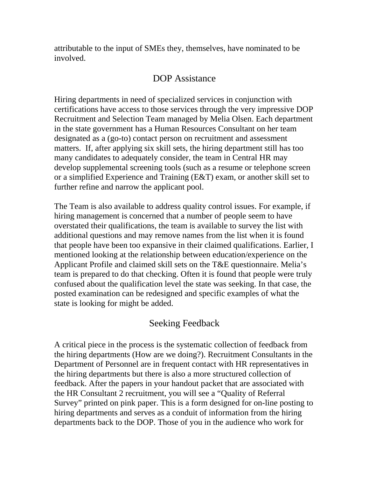attributable to the input of SMEs they, themselves, have nominated to be involved.

### DOP Assistance

Hiring departments in need of specialized services in conjunction with certifications have access to those services through the very impressive DOP Recruitment and Selection Team managed by Melia Olsen. Each department in the state government has a Human Resources Consultant on her team designated as a (go-to) contact person on recruitment and assessment matters. If, after applying six skill sets, the hiring department still has too many candidates to adequately consider, the team in Central HR may develop supplemental screening tools (such as a resume or telephone screen or a simplified Experience and Training (E&T) exam, or another skill set to further refine and narrow the applicant pool.

The Team is also available to address quality control issues. For example, if hiring management is concerned that a number of people seem to have overstated their qualifications, the team is available to survey the list with additional questions and may remove names from the list when it is found that people have been too expansive in their claimed qualifications. Earlier, I mentioned looking at the relationship between education/experience on the Applicant Profile and claimed skill sets on the T&E questionnaire. Melia's team is prepared to do that checking. Often it is found that people were truly confused about the qualification level the state was seeking. In that case, the posted examination can be redesigned and specific examples of what the state is looking for might be added.

## Seeking Feedback

A critical piece in the process is the systematic collection of feedback from the hiring departments (How are we doing?). Recruitment Consultants in the Department of Personnel are in frequent contact with HR representatives in the hiring departments but there is also a more structured collection of feedback. After the papers in your handout packet that are associated with the HR Consultant 2 recruitment, you will see a "Quality of Referral Survey" printed on pink paper. This is a form designed for on-line posting to hiring departments and serves as a conduit of information from the hiring departments back to the DOP. Those of you in the audience who work for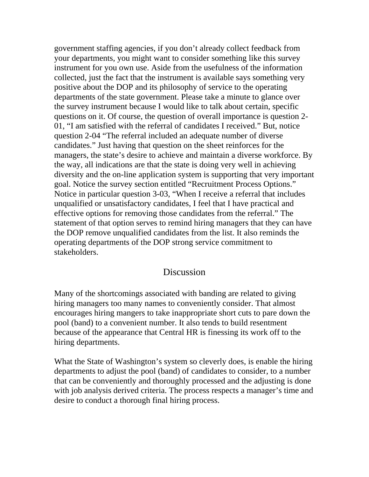government staffing agencies, if you don't already collect feedback from your departments, you might want to consider something like this survey instrument for you own use. Aside from the usefulness of the information collected, just the fact that the instrument is available says something very positive about the DOP and its philosophy of service to the operating departments of the state government. Please take a minute to glance over the survey instrument because I would like to talk about certain, specific questions on it. Of course, the question of overall importance is question 2- 01, "I am satisfied with the referral of candidates I received." But, notice question 2-04 "The referral included an adequate number of diverse candidates." Just having that question on the sheet reinforces for the managers, the state's desire to achieve and maintain a diverse workforce. By the way, all indications are that the state is doing very well in achieving diversity and the on-line application system is supporting that very important goal. Notice the survey section entitled "Recruitment Process Options." Notice in particular question 3-03, "When I receive a referral that includes unqualified or unsatisfactory candidates, I feel that I have practical and effective options for removing those candidates from the referral." The statement of that option serves to remind hiring managers that they can have the DOP remove unqualified candidates from the list. It also reminds the operating departments of the DOP strong service commitment to stakeholders.

#### **Discussion**

Many of the shortcomings associated with banding are related to giving hiring managers too many names to conveniently consider. That almost encourages hiring mangers to take inappropriate short cuts to pare down the pool (band) to a convenient number. It also tends to build resentment because of the appearance that Central HR is finessing its work off to the hiring departments.

What the State of Washington's system so cleverly does, is enable the hiring departments to adjust the pool (band) of candidates to consider, to a number that can be conveniently and thoroughly processed and the adjusting is done with job analysis derived criteria. The process respects a manager's time and desire to conduct a thorough final hiring process.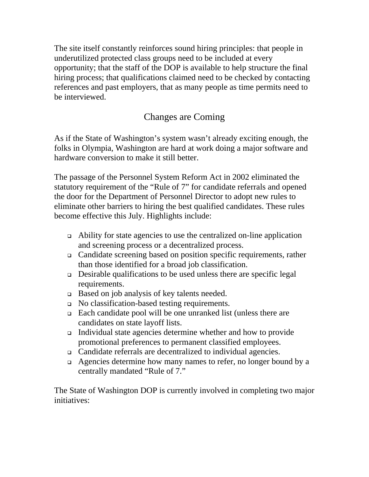The site itself constantly reinforces sound hiring principles: that people in underutilized protected class groups need to be included at every opportunity; that the staff of the DOP is available to help structure the final hiring process; that qualifications claimed need to be checked by contacting references and past employers, that as many people as time permits need to be interviewed.

# Changes are Coming

As if the State of Washington's system wasn't already exciting enough, the folks in Olympia, Washington are hard at work doing a major software and hardware conversion to make it still better.

The passage of the Personnel System Reform Act in 2002 eliminated the statutory requirement of the "Rule of 7" for candidate referrals and opened the door for the Department of Personnel Director to adopt new rules to eliminate other barriers to hiring the best qualified candidates. These rules become effective this July. Highlights include:

- Ability for state agencies to use the centralized on-line application and screening process or a decentralized process.
- Candidate screening based on position specific requirements, rather than those identified for a broad job classification.
- Desirable qualifications to be used unless there are specific legal requirements.
- Based on job analysis of key talents needed.
- No classification-based testing requirements.
- Each candidate pool will be one unranked list (unless there are candidates on state layoff lists.
- Individual state agencies determine whether and how to provide promotional preferences to permanent classified employees.
- Candidate referrals are decentralized to individual agencies.
- Agencies determine how many names to refer, no longer bound by a centrally mandated "Rule of 7."

The State of Washington DOP is currently involved in completing two major initiatives: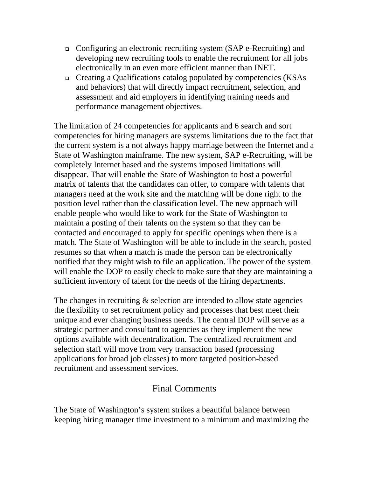- Configuring an electronic recruiting system (SAP e-Recruiting) and developing new recruiting tools to enable the recruitment for all jobs electronically in an even more efficient manner than INET.
- Creating a Qualifications catalog populated by competencies (KSAs and behaviors) that will directly impact recruitment, selection, and assessment and aid employers in identifying training needs and performance management objectives.

The limitation of 24 competencies for applicants and 6 search and sort competencies for hiring managers are systems limitations due to the fact that the current system is a not always happy marriage between the Internet and a State of Washington mainframe. The new system, SAP e-Recruiting, will be completely Internet based and the systems imposed limitations will disappear. That will enable the State of Washington to host a powerful matrix of talents that the candidates can offer, to compare with talents that managers need at the work site and the matching will be done right to the position level rather than the classification level. The new approach will enable people who would like to work for the State of Washington to maintain a posting of their talents on the system so that they can be contacted and encouraged to apply for specific openings when there is a match. The State of Washington will be able to include in the search, posted resumes so that when a match is made the person can be electronically notified that they might wish to file an application. The power of the system will enable the DOP to easily check to make sure that they are maintaining a sufficient inventory of talent for the needs of the hiring departments.

The changes in recruiting  $\&$  selection are intended to allow state agencies the flexibility to set recruitment policy and processes that best meet their unique and ever changing business needs. The central DOP will serve as a strategic partner and consultant to agencies as they implement the new options available with decentralization. The centralized recruitment and selection staff will move from very transaction based (processing applications for broad job classes) to more targeted position-based recruitment and assessment services.

## Final Comments

The State of Washington's system strikes a beautiful balance between keeping hiring manager time investment to a minimum and maximizing the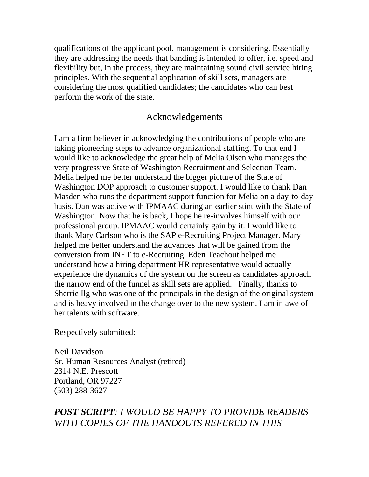qualifications of the applicant pool, management is considering. Essentially they are addressing the needs that banding is intended to offer, i.e. speed and flexibility but, in the process, they are maintaining sound civil service hiring principles. With the sequential application of skill sets, managers are considering the most qualified candidates; the candidates who can best perform the work of the state.

#### Acknowledgements

I am a firm believer in acknowledging the contributions of people who are taking pioneering steps to advance organizational staffing. To that end I would like to acknowledge the great help of Melia Olsen who manages the very progressive State of Washington Recruitment and Selection Team. Melia helped me better understand the bigger picture of the State of Washington DOP approach to customer support. I would like to thank Dan Masden who runs the department support function for Melia on a day-to-day basis. Dan was active with IPMAAC during an earlier stint with the State of Washington. Now that he is back, I hope he re-involves himself with our professional group. IPMAAC would certainly gain by it. I would like to thank Mary Carlson who is the SAP e-Recruiting Project Manager. Mary helped me better understand the advances that will be gained from the conversion from INET to e-Recruiting. Eden Teachout helped me understand how a hiring department HR representative would actually experience the dynamics of the system on the screen as candidates approach the narrow end of the funnel as skill sets are applied. Finally, thanks to Sherrie Ilg who was one of the principals in the design of the original system and is heavy involved in the change over to the new system. I am in awe of her talents with software.

Respectively submitted:

Neil Davidson Sr. Human Resources Analyst (retired) 2314 N.E. Prescott Portland, OR 97227 (503) 288-3627

## *POST SCRIPT: I WOULD BE HAPPY TO PROVIDE READERS WITH COPIES OF THE HANDOUTS REFERED IN THIS*